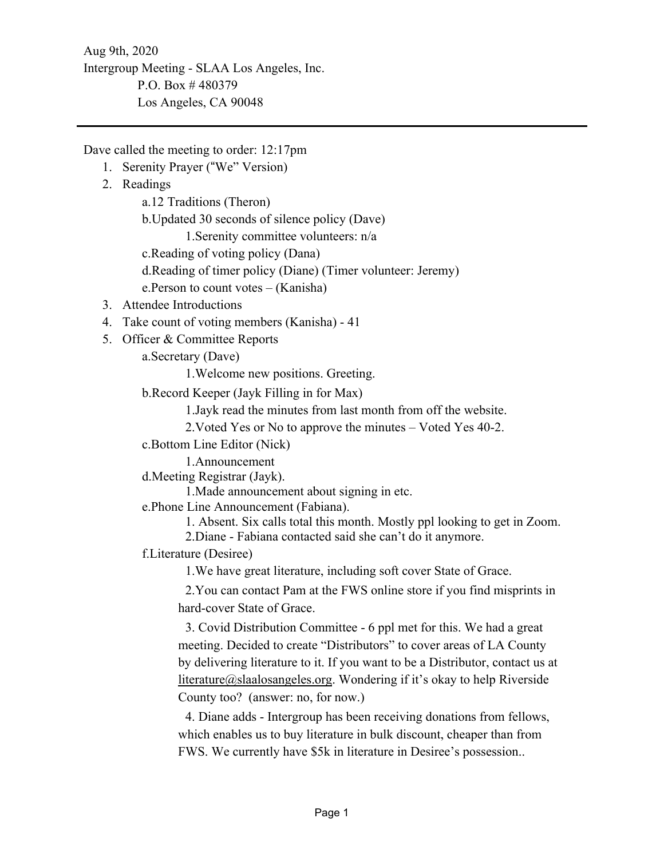Aug 9th, 2020 Intergroup Meeting - SLAA Los Angeles, Inc. P.O. Box # 480379 Los Angeles, CA 90048

Dave called the meeting to order: 12:17pm

- 1. Serenity Prayer ("We" Version)
- 2. Readings

a.12 Traditions (Theron)

b.Updated 30 seconds of silence policy (Dave) 1.Serenity committee volunteers: n/a

c.Reading of voting policy (Dana)

d.Reading of timer policy (Diane) (Timer volunteer: Jeremy)

e.Person to count votes – (Kanisha)

- 3. Attendee Introductions
- 4. Take count of voting members (Kanisha) 41
- 5. Officer & Committee Reports

a.Secretary (Dave)

1.Welcome new positions. Greeting.

b.Record Keeper (Jayk Filling in for Max)

1.Jayk read the minutes from last month from off the website.

2.Voted Yes or No to approve the minutes – Voted Yes 40-2.

c.Bottom Line Editor (Nick)

1.Announcement

d.Meeting Registrar (Jayk).

1.Made announcement about signing in etc.

e.Phone Line Announcement (Fabiana).

1. Absent. Six calls total this month. Mostly ppl looking to get in Zoom.

2.Diane - Fabiana contacted said she can't do it anymore.

f.Literature (Desiree)

1.We have great literature, including soft cover State of Grace.

2.You can contact Pam at the FWS online store if you find misprints in hard-cover State of Grace.

3. Covid Distribution Committee - 6 ppl met for this. We had a great meeting. Decided to create "Distributors" to cover areas of LA County by delivering literature to it. If you want to be a Distributor, contact us at literature@slaalosangeles.org. Wondering if it's okay to help Riverside County too? (answer: no, for now.)

4. Diane adds - Intergroup has been receiving donations from fellows, which enables us to buy literature in bulk discount, cheaper than from FWS. We currently have \$5k in literature in Desiree's possession..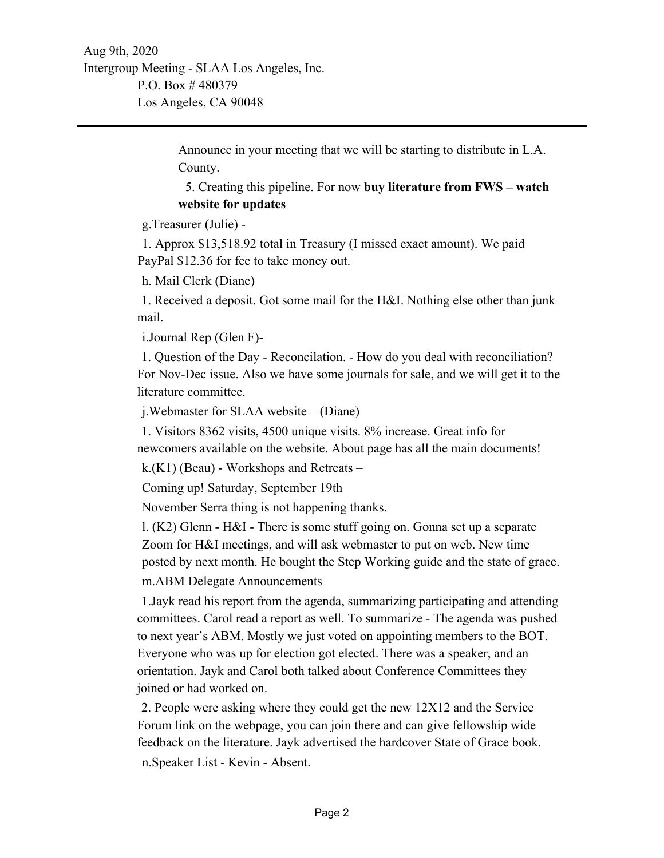Announce in your meeting that we will be starting to distribute in L.A. County.

5. Creating this pipeline. For now **buy literature from FWS – watch website for updates** 

g.Treasurer (Julie) -

1. Approx \$13,518.92 total in Treasury (I missed exact amount). We paid PayPal \$12.36 for fee to take money out.

h. Mail Clerk (Diane)

1. Received a deposit. Got some mail for the H&I. Nothing else other than junk mail.

i.Journal Rep (Glen F)-

1. Question of the Day - Reconcilation. - How do you deal with reconciliation? For Nov-Dec issue. Also we have some journals for sale, and we will get it to the literature committee.

j.Webmaster for SLAA website – (Diane)

1. Visitors 8362 visits, 4500 unique visits. 8% increase. Great info for newcomers available on the website. About page has all the main documents!

k.(K1) (Beau) - Workshops and Retreats –

Coming up! Saturday, September 19th

November Serra thing is not happening thanks.

l. (K2) Glenn - H&I - There is some stuff going on. Gonna set up a separate Zoom for H&I meetings, and will ask webmaster to put on web. New time posted by next month. He bought the Step Working guide and the state of grace. m.ABM Delegate Announcements

1.Jayk read his report from the agenda, summarizing participating and attending committees. Carol read a report as well. To summarize - The agenda was pushed to next year's ABM. Mostly we just voted on appointing members to the BOT. Everyone who was up for election got elected. There was a speaker, and an orientation. Jayk and Carol both talked about Conference Committees they joined or had worked on.

2. People were asking where they could get the new 12X12 and the Service Forum link on the webpage, you can join there and can give fellowship wide feedback on the literature. Jayk advertised the hardcover State of Grace book. n.Speaker List - Kevin - Absent.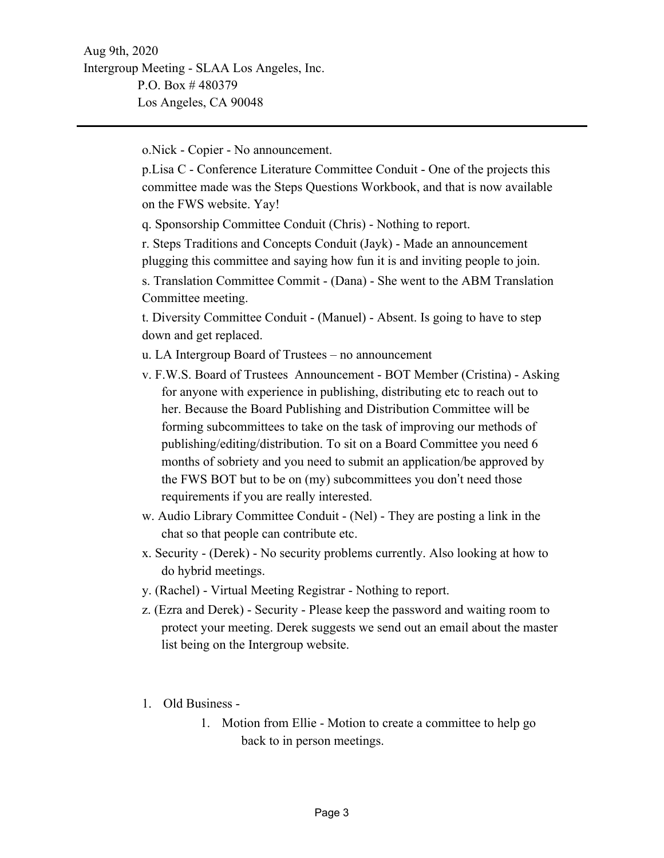o.Nick - Copier - No announcement.

p.Lisa C - Conference Literature Committee Conduit - One of the projects this committee made was the Steps Questions Workbook, and that is now available on the FWS website. Yay!

q. Sponsorship Committee Conduit (Chris) - Nothing to report.

r. Steps Traditions and Concepts Conduit (Jayk) - Made an announcement plugging this committee and saying how fun it is and inviting people to join.

s. Translation Committee Commit - (Dana) - She went to the ABM Translation Committee meeting.

t. Diversity Committee Conduit - (Manuel) - Absent. Is going to have to step down and get replaced.

u. LA Intergroup Board of Trustees – no announcement

- v. F.W.S. Board of Trustees Announcement BOT Member (Cristina) Asking for anyone with experience in publishing, distributing etc to reach out to her. Because the Board Publishing and Distribution Committee will be forming subcommittees to take on the task of improving our methods of publishing/editing/distribution. To sit on a Board Committee you need 6 months of sobriety and you need to submit an application/be approved by the FWS BOT but to be on (my) subcommittees you don't need those requirements if you are really interested.
- w. Audio Library Committee Conduit (Nel) They are posting a link in the chat so that people can contribute etc.
- x. Security (Derek) No security problems currently. Also looking at how to do hybrid meetings.
- y. (Rachel) Virtual Meeting Registrar Nothing to report.
- z. (Ezra and Derek) Security Please keep the password and waiting room to protect your meeting. Derek suggests we send out an email about the master list being on the Intergroup website.
- 1. Old Business
	- 1. Motion from Ellie Motion to create a committee to help go back to in person meetings.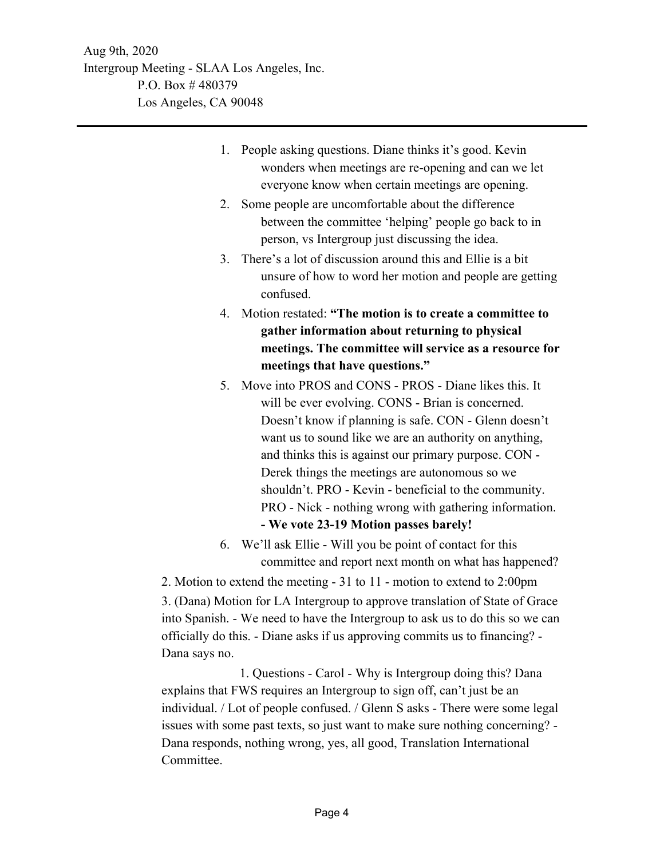- 1. People asking questions. Diane thinks it's good. Kevin wonders when meetings are re-opening and can we let everyone know when certain meetings are opening.
- 2. Some people are uncomfortable about the difference between the committee 'helping' people go back to in person, vs Intergroup just discussing the idea.
- 3. There's a lot of discussion around this and Ellie is a bit unsure of how to word her motion and people are getting confused.
- 4. Motion restated: **"The motion is to create a committee to gather information about returning to physical meetings. The committee will service as a resource for meetings that have questions."**
- 5. Move into PROS and CONS PROS Diane likes this. It will be ever evolving. CONS - Brian is concerned. Doesn't know if planning is safe. CON - Glenn doesn't want us to sound like we are an authority on anything, and thinks this is against our primary purpose. CON - Derek things the meetings are autonomous so we shouldn't. PRO - Kevin - beneficial to the community. PRO - Nick - nothing wrong with gathering information. **- We vote 23-19 Motion passes barely!**
- 6. We'll ask Ellie Will you be point of contact for this committee and report next month on what has happened?

 2. Motion to extend the meeting - 31 to 11 - motion to extend to 2:00pm 3. (Dana) Motion for LA Intergroup to approve translation of State of Grace into Spanish. - We need to have the Intergroup to ask us to do this so we can officially do this. - Diane asks if us approving commits us to financing? - Dana says no.

 1. Questions - Carol - Why is Intergroup doing this? Dana explains that FWS requires an Intergroup to sign off, can't just be an individual. / Lot of people confused. / Glenn S asks - There were some legal issues with some past texts, so just want to make sure nothing concerning? - Dana responds, nothing wrong, yes, all good, Translation International Committee.